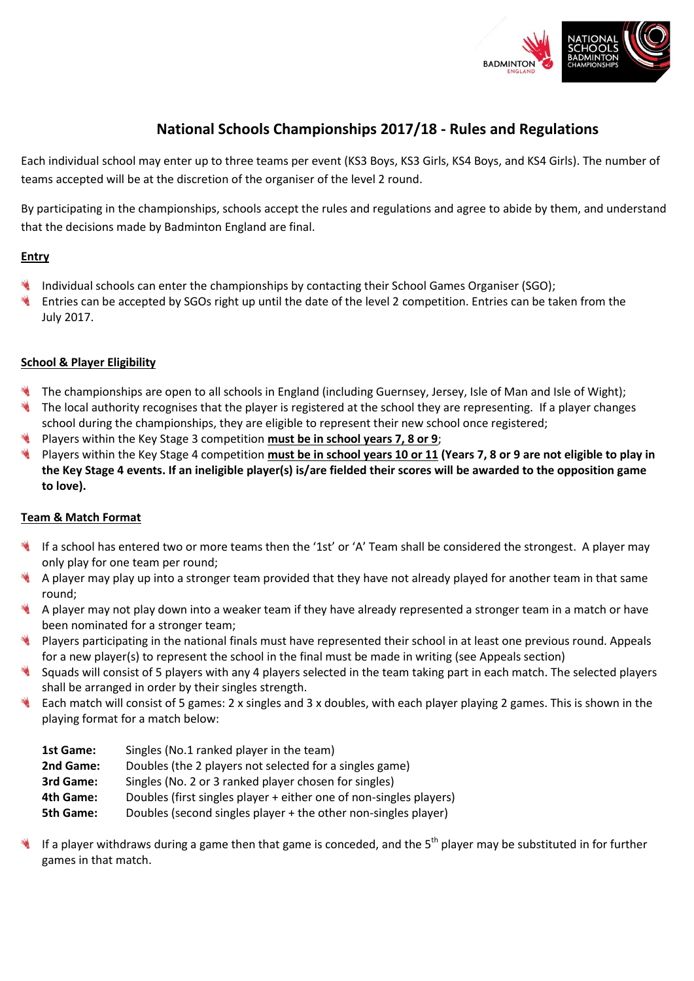

# **National Schools Championships 2017/18 - Rules and Regulations**

Each individual school may enter up to three teams per event (KS3 Boys, KS3 Girls, KS4 Boys, and KS4 Girls). The number of teams accepted will be at the discretion of the organiser of the level 2 round.

By participating in the championships, schools accept the rules and regulations and agree to abide by them, and understand that the decisions made by Badminton England are final.

## **Entry**

- Individual schools can enter the championships by contacting their School Games Organiser (SGO);
- Entries can be accepted by SGOs right up until the date of the level 2 competition. Entries can be taken from the July 2017.

### **School & Player Eligibility**

- The championships are open to all schools in England (including Guernsey, Jersey, Isle of Man and Isle of Wight);
- The local authority recognises that the player is registered at the school they are representing. If a player changes school during the championships, they are eligible to represent their new school once registered;
- Players within the Key Stage 3 competition **must be in school years 7, 8 or 9**;
- Players within the Key Stage 4 competition **must be in school years 10 or 11 (Years 7, 8 or 9 are not eligible to play in the Key Stage 4 events. If an ineligible player(s) is/are fielded their scores will be awarded to the opposition game to love).**

## **Team & Match Format**

- If a school has entered two or more teams then the '1st' or 'A' Team shall be considered the strongest. A player may only play for one team per round;
- A player may play up into a stronger team provided that they have not already played for another team in that same round;
- A player may not play down into a weaker team if they have already represented a stronger team in a match or have been nominated for a stronger team;
- Players participating in the national finals must have represented their school in at least one previous round. Appeals for a new player(s) to represent the school in the final must be made in writing (see Appeals section)
- Squads will consist of 5 players with any 4 players selected in the team taking part in each match. The selected players shall be arranged in order by their singles strength.
- Each match will consist of 5 games: 2 x singles and 3 x doubles, with each player playing 2 games. This is shown in the playing format for a match below:
	- **1st Game:** Singles (No.1 ranked player in the team) **2nd Game:** Doubles (the 2 players not selected for a singles game)
	- **3rd Game:** Singles (No. 2 or 3 ranked player chosen for singles)
	- **4th Game:** Doubles (first singles player + either one of non-singles players)
	- **5th Game:** Doubles (second singles player + the other non-singles player)
- If a player withdraws during a game then that game is conceded, and the 5<sup>th</sup> player may be substituted in for further games in that match.